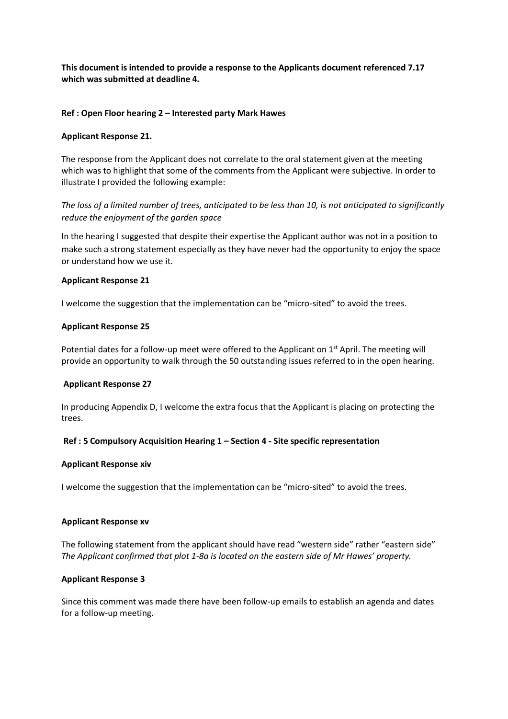**This document is intended to provide a response to the Applicants document referenced 7.17 which was submitted at deadline 4.** 

### **Ref : Open Floor hearing 2 – Interested party Mark Hawes**

## **Applicant Response 21.**

The response from the Applicant does not correlate to the oral statement given at the meeting which was to highlight that some of the comments from the Applicant were subjective. In order to illustrate I provided the following example:

*The loss of a limited number of trees, anticipated to be less than 10, is not anticipated to significantly reduce the enjoyment of the garden space*

In the hearing I suggested that despite their expertise the Applicant author was not in a position to make such a strong statement especially as they have never had the opportunity to enjoy the space or understand how we use it.

### **Applicant Response 21**

I welcome the suggestion that the implementation can be "micro-sited" to avoid the trees.

### **Applicant Response 25**

Potential dates for a follow-up meet were offered to the Applicant on 1<sup>st</sup> April. The meeting will provide an opportunity to walk through the 50 outstanding issues referred to in the open hearing.

#### **Applicant Response 27**

In producing Appendix D, I welcome the extra focus that the Applicant is placing on protecting the trees.

# **Ref : 5 Compulsory Acquisition Hearing 1 – Section 4 - Site specific representation**

#### **Applicant Response xiv**

I welcome the suggestion that the implementation can be "micro-sited" to avoid the trees.

#### **Applicant Response xv**

The following statement from the applicant should have read "western side" rather "eastern side" *The Applicant confirmed that plot 1-8a is located on the eastern side of Mr Hawes' property.*

# **Applicant Response 3**

Since this comment was made there have been follow-up emails to establish an agenda and dates for a follow-up meeting.